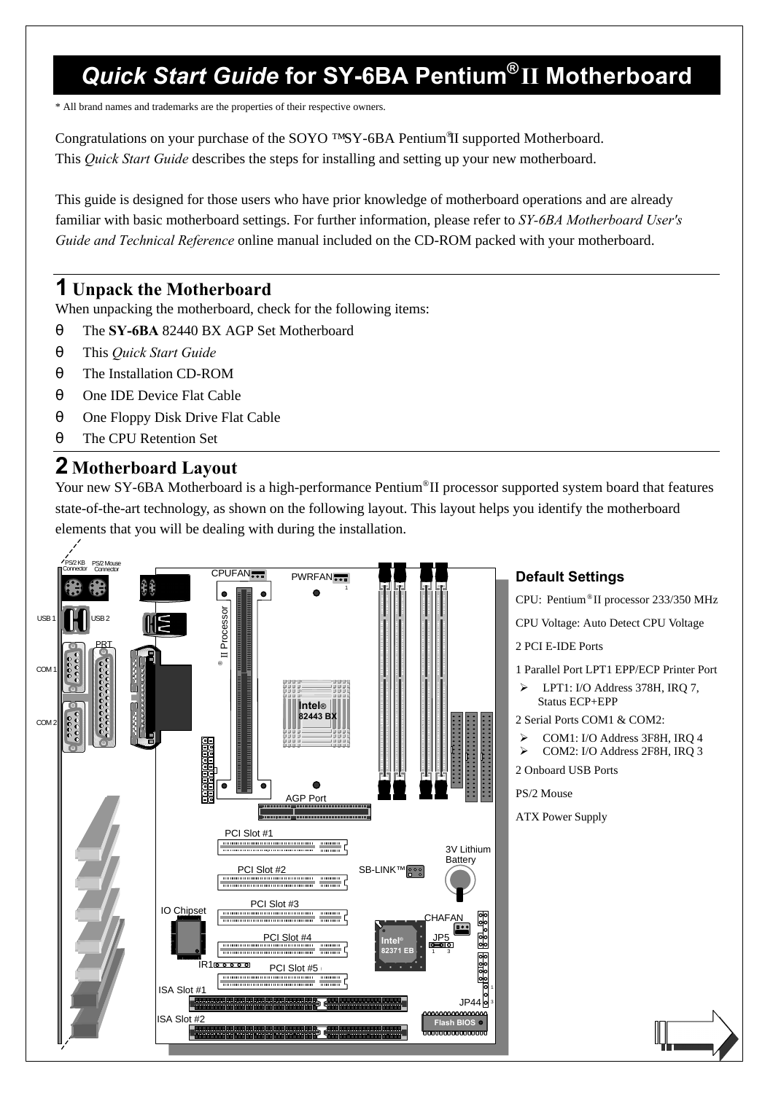# *Quick Start Guide* **for SY-6BA Pentium® II Motherboard**

\* All brand names and trademarks are the properties of their respective owners.

Congratulations on your purchase of the SOYO ™SY-6BA Pentium®II supported Motherboard. This *Quick Start Guide* describes the steps for installing and setting up your new motherboard.

This guide is designed for those users who have prior knowledge of motherboard operations and are already familiar with basic motherboard settings. For further information, please refer to *SY-6BA Motherboard User's Guide and Technical Reference* online manual included on the CD-ROM packed with your motherboard.

#### **1 Unpack the Motherboard**

When unpacking the motherboard, check for the following items:

- θ The **SY-6BA** 82440 BX AGP Set Motherboard
- θ This *Quick Start Guide*
- θ The Installation CD-ROM
- θ One IDE Device Flat Cable
- θ One Floppy Disk Drive Flat Cable
- θ The CPU Retention Set

#### **2 Motherboard Layout**

Your new SY-6BA Motherboard is a high-performance Pentium®II processor supported system board that features state-of-the-art technology, as shown on the following layout. This layout helps you identify the motherboard elements that you will be dealing with during the installation.



#### **Default Settings**

CPU: Pentium® II processor 233/350 MHz

CPU Voltage: Auto Detect CPU Voltage

2 PCI E-IDE Ports

1 Parallel Port LPT1 EPP/ECP Printer Port

LPT1: I/O Address 378H, IRO 7, Status ECP+EPP

2 Serial Ports COM1 & COM2:

 $\geq$  COM1: I/O Address 3F8H, IRQ 4 ÿ COM2: I/O Address 2F8H, IRQ 3

2 Onboard USB Ports

PS/2 Mouse

ATX Power Supply